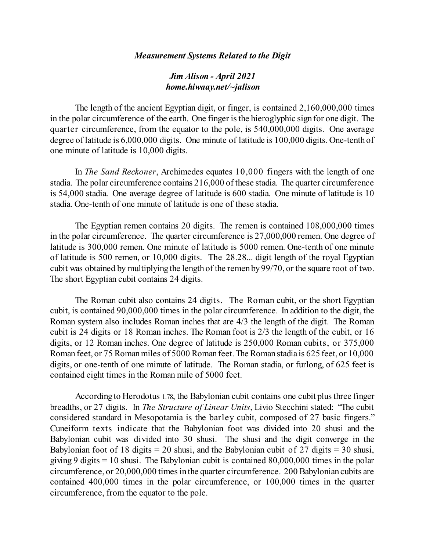## *Measurement Systems Related to the Digit*

## *Jim Alison - April 2021 home.hiwaay.net/~jalison*

The length of the ancient Egyptian digit, or finger, is contained 2,160,000,000 times in the polar circumference of the earth. One finger isthe hieroglyphic sign for one digit. The quarter circumference, from the equator to the pole, is 540,000,000 digits. One average degree of latitude is 6,000,000 digits. One minute of latitude is 100,000 digits. One-tenth of one minute of latitude is 10,000 digits.

In *The Sand Reckoner*, Archimedes equates 10,000 fingers with the length of one stadia. The polar circumference contains 216,000 of these stadia. The quarter circumference is 54,000 stadia. One average degree of latitude is 600 stadia. One minute of latitude is 10 stadia. One-tenth of one minute of latitude is one of these stadia.

The Egyptian remen contains 20 digits. The remen is contained 108,000,000 times in the polar circumference. The quarter circumference is 27,000,000 remen. One degree of latitude is 300,000 remen. One minute of latitude is 5000 remen. One-tenth of one minute of latitude is 500 remen, or 10,000 digits. The 28.28... digit length of the royal Egyptian cubit was obtained by multiplying the length of the remen by 99/70, or the square root of two. The short Egyptian cubit contains 24 digits.

The Roman cubit also contains 24 digits. The Roman cubit, or the short Egyptian cubit, is contained 90,000,000 times in the polar circumference. In addition to the digit, the Roman system also includes Roman inches that are 4/3 the length of the digit. The Roman cubit is 24 digits or 18 Roman inches. The Roman foot is 2/3 the length of the cubit, or 16 digits, or 12 Roman inches. One degree of latitude is 250,000 Roman cubits, or 375,000 Roman feet, or 75 Roman miles of 5000 Roman feet. The Roman stadia is 625 feet, or 10,000 digits, or one-tenth of one minute of latitude. The Roman stadia, or furlong, of 625 feet is contained eight times in the Roman mile of 5000 feet.

According to Herodotus 1.78, the Babylonian cubit contains one cubit plus three finger breadths, or 27 digits. In *The Structure of Linear Units*, Livio Stecchini stated: "The cubit considered standard in Mesopotamia is the barley cubit, composed of 27 basic fingers." Cuneiform texts indicate that the Babylonian foot was divided into 20 shusi and the Babylonian cubit was divided into 30 shusi. The shusi and the digit converge in the Babylonian foot of 18 digits  $= 20$  shusi, and the Babylonian cubit of 27 digits  $= 30$  shusi, giving 9 digits  $= 10$  shusi. The Babylonian cubit is contained 80,000,000 times in the polar circumference, or 20,000,000 timesin the quarter circumference. 200 Babylonian cubits are contained 400,000 times in the polar circumference, or 100,000 times in the quarter circumference, from the equator to the pole.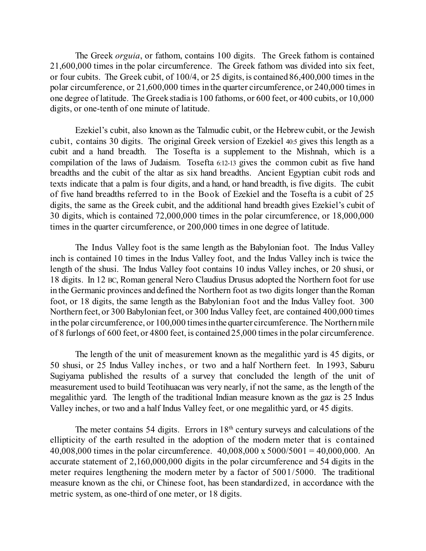The Greek *orguia*, or fathom, contains 100 digits. The Greek fathom is contained 21,600,000 times in the polar circumference. The Greek fathom was divided into six feet, or four cubits. The Greek cubit, of 100/4, or 25 digits, is contained 86,400,000 times in the polar circumference, or 21,600,000 times in the quarter circumference, or 240,000 times in one degree of latitude. The Greek stadia is 100 fathoms, or 600 feet, or 400 cubits, or 10,000 digits, or one-tenth of one minute of latitude.

Ezekiel's cubit, also known as the Talmudic cubit, or the Hebrewcubit, or the Jewish cubit, contains 30 digits. The original Greek version of Ezekiel 40:5 gives this length as a cubit and a hand breadth. The Tosefta is a supplement to the Mishnah, which is a compilation of the laws of Judaism. Tosefta 6:12-13 gives the common cubit as five hand breadths and the cubit of the altar as six hand breadths. Ancient Egyptian cubit rods and texts indicate that a palm is four digits, and a hand, or hand breadth, is five digits. The cubit of five hand breadths referred to in the Book of Ezekiel and the Tosefta is a cubit of 25 digits, the same as the Greek cubit, and the additional hand breadth gives Ezekiel's cubit of 30 digits, which is contained 72,000,000 times in the polar circumference, or 18,000,000 times in the quarter circumference, or 200,000 times in one degree of latitude.

The Indus Valley foot is the same length as the Babylonian foot. The Indus Valley inch is contained 10 times in the Indus Valley foot, and the Indus Valley inch is twice the length of the shusi. The Indus Valley foot contains 10 indus Valley inches, or 20 shusi, or 18 digits. In 12 BC, Roman general Nero Claudius Drusus adopted the Northern foot for use in the Germanic provinces and defined the Northern foot as two digits longer than the Roman foot, or 18 digits, the same length as the Babylonian foot and the Indus Valley foot. 300 Northern feet, or 300 Babylonian feet, or 300 Indus Valley feet, are contained 400,000 times in the polar circumference, or 100,000 times in the quarter circumference. The Northern mile of 8 furlongs of 600 feet, or 4800 feet, is contained 25,000 times in the polar circumference.

The length of the unit of measurement known as the megalithic yard is 45 digits, or 50 shusi, or 25 Indus Valley inches, or two and a half Northern feet. In 1993, Saburu Sugiyama published the results of a survey that concluded the length of the unit of measurement used to build Teotihuacan was very nearly, if not the same, as the length of the megalithic yard. The length of the traditional Indian measure known as the gaz is 25 Indus Valley inches, or two and a half Indus Valley feet, or one megalithic yard, or 45 digits.

The meter contains 54 digits. Errors in  $18<sup>th</sup>$  century surveys and calculations of the ellipticity of the earth resulted in the adoption of the modern meter that is contained 40,008,000 times in the polar circumference. 40,008,000 x 5000/5001 = 40,000,000. An accurate statement of 2,160,000,000 digits in the polar circumference and 54 digits in the meter requires lengthening the modern meter by a factor of 5001/5000. The traditional measure known as the chi, or Chinese foot, has been standardized, in accordance with the metric system, as one-third of one meter, or 18 digits.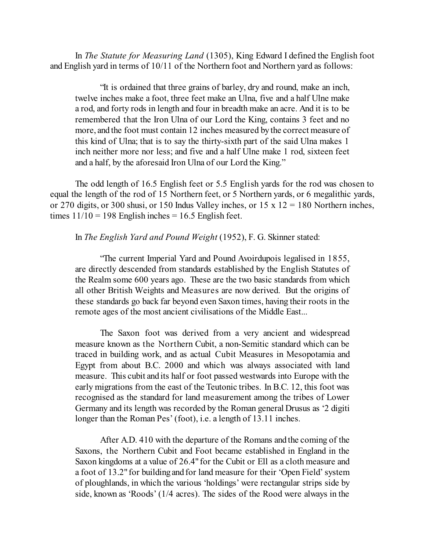In *The Statute for Measuring Land* (1305), King Edward I defined the English foot and English yard in terms of 10/11 of the Northern foot and Northern yard as follows:

"It is ordained that three grains of barley, dry and round, make an inch, twelve inches make a foot, three feet make an Ulna, five and a half Ulne make a rod, and forty rods in length and four in breadth make an acre. And it is to be remembered that the Iron Ulna of our Lord the King, contains 3 feet and no more, and the foot must contain 12 inches measured by the correct measure of this kind of Ulna; that is to say the thirty-sixth part of the said Ulna makes 1 inch neither more nor less; and five and a half Ulne make 1 rod, sixteen feet and a half, by the aforesaid Iron Ulna of our Lord the King."

The odd length of 16.5 English feet or 5.5 English yards for the rod was chosen to equal the length of the rod of 15 Northern feet, or 5 Northern yards, or 6 megalithic yards, or 270 digits, or 300 shusi, or 150 Indus Valley inches, or  $15 \times 12 = 180$  Northern inches, times  $11/10 = 198$  English inches = 16.5 English feet.

## In *The English Yard and Pound Weight* (1952), F. G. Skinner stated:

"The current Imperial Yard and Pound Avoirdupois legalised in 1855, are directly descended from standards established by the English Statutes of the Realm some 600 years ago. These are the two basic standards from which all other British Weights and Measures are now derived. But the origins of these standards go back far beyond even Saxon times, having their roots in the remote ages of the most ancient civilisations of the Middle East...

The Saxon foot was derived from a very ancient and widespread measure known as the Northern Cubit, a non-Semitic standard which can be traced in building work, and as actual Cubit Measures in Mesopotamia and Egypt from about B.C. 2000 and which was always associated with land measure. This cubit and its half or foot passed westwards into Europe with the early migrations from the east of the Teutonic tribes. In B.C. 12, this foot was recognised as the standard for land measurement among the tribes of Lower Germany and its length was recorded by the Roman general Drusus as '2 digiti longer than the Roman Pes' (foot), i.e. a length of 13.11 inches.

After A.D. 410 with the departure of the Romans and the coming of the Saxons, the Northern Cubit and Foot became established in England in the Saxon kingdoms at a value of 26.4" for the Cubit or Ell as a cloth measure and a foot of 13.2" for building and for land measure for their 'Open Field'system of ploughlands, in which the various 'holdings' were rectangular strips side by side, known as 'Roods' (1/4 acres). The sides of the Rood were always in the